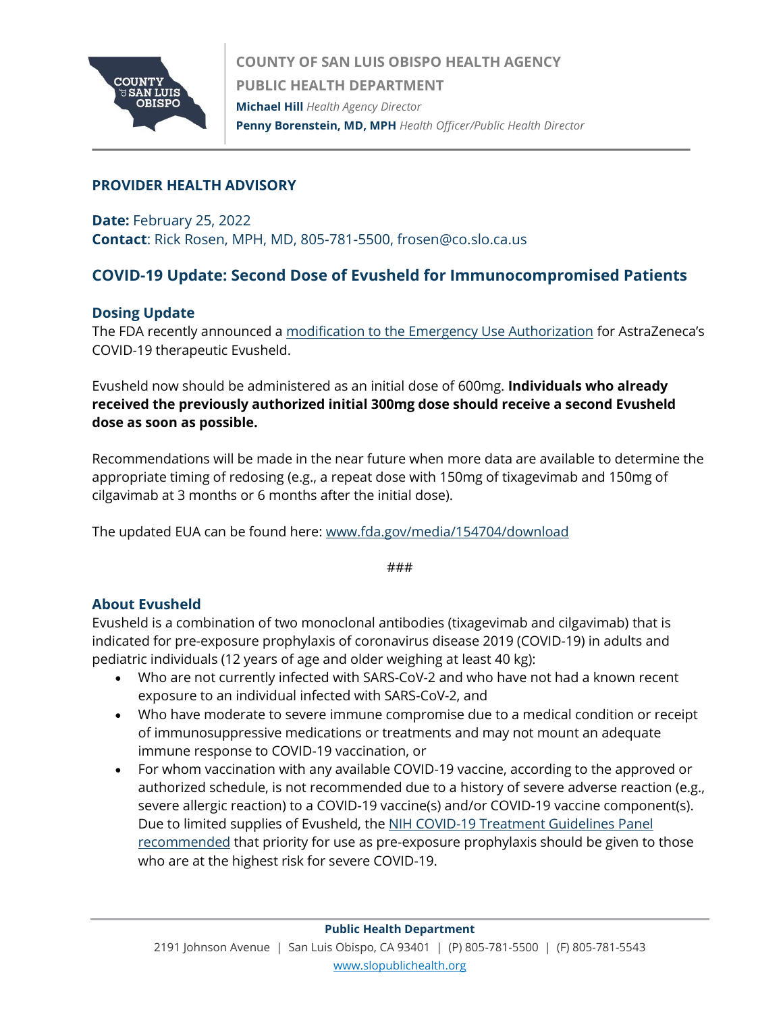

## **PROVIDER HEALTH ADVISORY**

**Date:** February 25, 2022 **Contact**: Rick Rosen, MPH, MD, 805-781-5500, frosen@co.slo.ca.us

# **COVID-19 Update: Second Dose of Evusheld for Immunocompromised Patients**

## **Dosing Update**

The FDA recently announced a [modification to the Emergency Use Authorization](https://gcc02.safelinks.protection.outlook.com/?url=https%3A%2F%2Fwww.fda.gov%2Fdrugs%2Fdrug-safety-and-availability%2Ffda-authorizes-revisions-evusheld-dosing&data=04%7C01%7Comontiano%40co.slo.ca.us%7C355f1a095ba743cc2dfe08d9f89605ed%7C84c3c7747fdf40e2a59027b2e70f8126%7C0%7C0%7C637814145484363714%7CUnknown%7CTWFpbGZsb3d8eyJWIjoiMC4wLjAwMDAiLCJQIjoiV2luMzIiLCJBTiI6Ik1haWwiLCJXVCI6Mn0%3D%7C3000&sdata=XFvbU9T%2BNO%2Bf9wNky8E4jWsDjE94VmPEJwaANXHvJyk%3D&reserved=0) for AstraZeneca's COVID-19 therapeutic Evusheld.

Evusheld now should be administered as an initial dose of 600mg. **Individuals who already received the previously authorized initial 300mg dose should receive a second Evusheld dose as soon as possible.**

Recommendations will be made in the near future when more data are available to determine the appropriate timing of redosing (e.g., a repeat dose with 150mg of tixagevimab and 150mg of cilgavimab at 3 months or 6 months after the initial dose).

The updated EUA can be found here: [www.fda.gov/media/154704/download](https://gcc02.safelinks.protection.outlook.com/?url=https%3A%2F%2Fwww.fda.gov%2Fmedia%2F154704%2Fdownload&data=04%7C01%7Comontiano%40co.slo.ca.us%7C355f1a095ba743cc2dfe08d9f89605ed%7C84c3c7747fdf40e2a59027b2e70f8126%7C0%7C0%7C637814145484363714%7CUnknown%7CTWFpbGZsb3d8eyJWIjoiMC4wLjAwMDAiLCJQIjoiV2luMzIiLCJBTiI6Ik1haWwiLCJXVCI6Mn0%3D%7C3000&sdata=NNJ%2B%2FzVDS1h%2FgmhLPobJte156yAArYjUbUHZY50D%2Fds%3D&reserved=0)

###

#### **About Evusheld**

Evusheld is a combination of two monoclonal antibodies (tixagevimab and cilgavimab) that is indicated for pre-exposure prophylaxis of coronavirus disease 2019 (COVID-19) in adults and pediatric individuals (12 years of age and older weighing at least 40 kg):

- Who are not currently infected with SARS-CoV-2 and who have not had a known recent exposure to an individual infected with SARS-CoV-2, and
- Who have moderate to severe immune compromise due to a medical condition or receipt of immunosuppressive medications or treatments and may not mount an adequate immune response to COVID-19 vaccination, or
- For whom vaccination with any available COVID-19 vaccine, according to the approved or authorized schedule, is not recommended due to a history of severe adverse reaction (e.g., severe allergic reaction) to a COVID-19 vaccine(s) and/or COVID-19 vaccine component(s). Due to limited supplies of Evusheld, the NIH COVID-19 Treatment Guidelines Panel [recommended](https://gcc02.safelinks.protection.outlook.com/?url=https%3A%2F%2Furldefense.com%2Fv3%2F__https%3A%2Fgcc02.safelinks.protection.outlook.com%2F%3Furl%3Dhttps*3A*2F*2Fwww.covid19treatmentguidelines.nih.gov*2Foverview*2Fprevention-of-sars-cov-2*2F%26data%3D04*7C01*7CAmelia.Marlowe*40hhs.gov*7C7611451d74054243c7eb08d9f87b03f8*7Cd58addea50534a808499ba4d944910df*7C0*7C0*7C637814029488179925*7CUnknown*7CTWFpbGZsb3d8eyJWIjoiMC4wLjAwMDAiLCJQIjoiV2luMzIiLCJBTiI6Ik1haWwiLCJXVCI6Mn0*3D*7C3000%26sdata%3DUzzRE47scnfD35PqNTyYTDZEp4heQ9PT*2BGBfDnugb0M*3D%26reserved%3D0__%3BJSUlJSUlJSUlJSUlJSUlJSUlJSU!!AvL6XA!netlB-896JmNwielEW3vxafTpW7Vaf8vS4C4nN7XVzBxEzm09gPW7iGQYeAZSElfcXEc5h0%24&data=04%7C01%7Comontiano%40co.slo.ca.us%7C355f1a095ba743cc2dfe08d9f89605ed%7C84c3c7747fdf40e2a59027b2e70f8126%7C0%7C0%7C637814145484363714%7CUnknown%7CTWFpbGZsb3d8eyJWIjoiMC4wLjAwMDAiLCJQIjoiV2luMzIiLCJBTiI6Ik1haWwiLCJXVCI6Mn0%3D%7C3000&sdata=nTv1%2Byg9wBno5Vstupd%2FOijj%2BT0yk70rRUy5xmDO%2F%2Fc%3D&reserved=0) that priority for use as pre-exposure prophylaxis should be given to those who are at the highest risk for severe COVID-19.